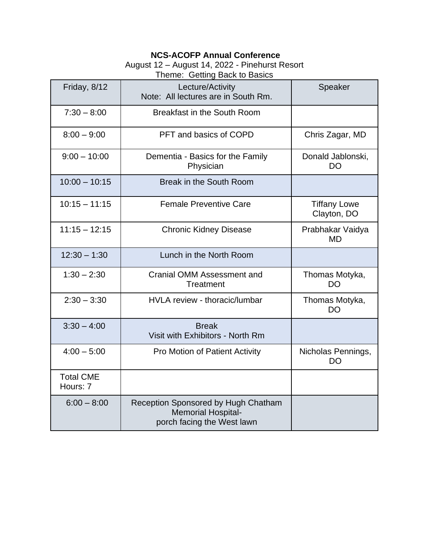## **NCS-ACOFP Annual Conference**

## August 12 – August 14, 2022 - Pinehurst Resort

Theme: Getting Back to Basics

| Friday, 8/12                 | Lecture/Activity<br>Note: All lectures are in South Rm.                                        | Speaker                            |
|------------------------------|------------------------------------------------------------------------------------------------|------------------------------------|
| $7:30 - 8:00$                | <b>Breakfast in the South Room</b>                                                             |                                    |
| $8:00 - 9:00$                | PFT and basics of COPD                                                                         | Chris Zagar, MD                    |
| $9:00 - 10:00$               | Dementia - Basics for the Family<br>Physician                                                  | Donald Jablonski,<br>DO            |
| $10:00 - 10:15$              | Break in the South Room                                                                        |                                    |
| $10:15 - 11:15$              | <b>Female Preventive Care</b>                                                                  | <b>Tiffany Lowe</b><br>Clayton, DO |
| $11:15 - 12:15$              | <b>Chronic Kidney Disease</b>                                                                  | Prabhakar Vaidya<br>MD             |
| $12:30 - 1:30$               | Lunch in the North Room                                                                        |                                    |
| $1:30 - 2:30$                | Cranial OMM Assessment and<br>Treatment                                                        | Thomas Motyka,<br><b>DO</b>        |
| $2:30 - 3:30$                | HVLA review - thoracic/lumbar                                                                  | Thomas Motyka,<br><b>DO</b>        |
| $3:30 - 4:00$                | <b>Break</b><br>Visit with Exhibitors - North Rm                                               |                                    |
| $4:00 - 5:00$                | <b>Pro Motion of Patient Activity</b>                                                          | Nicholas Pennings,<br>DO           |
| <b>Total CME</b><br>Hours: 7 |                                                                                                |                                    |
| $6:00 - 8:00$                | Reception Sponsored by Hugh Chatham<br><b>Memorial Hospital-</b><br>porch facing the West lawn |                                    |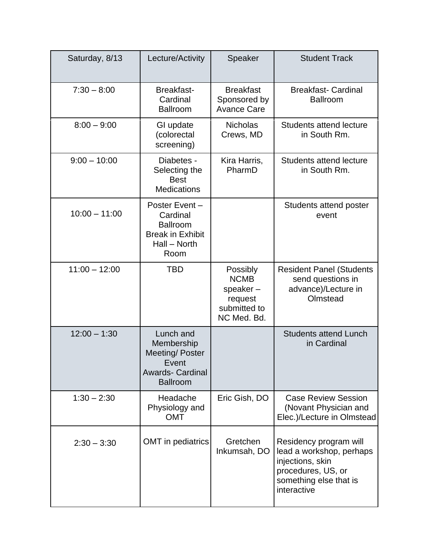| Saturday, 8/13  | Lecture/Activity                                                                                        | Speaker                                                                       | <b>Student Track</b>                                                                                                                  |
|-----------------|---------------------------------------------------------------------------------------------------------|-------------------------------------------------------------------------------|---------------------------------------------------------------------------------------------------------------------------------------|
| $7:30 - 8:00$   | <b>Breakfast-</b><br>Cardinal<br><b>Ballroom</b>                                                        | <b>Breakfast</b><br>Sponsored by<br><b>Avance Care</b>                        | <b>Breakfast-Cardinal</b><br><b>Ballroom</b>                                                                                          |
| $8:00 - 9:00$   | GI update<br>(colorectal<br>screening)                                                                  | <b>Nicholas</b><br>Crews, MD                                                  | <b>Students attend lecture</b><br>in South Rm.                                                                                        |
| $9:00 - 10:00$  | Diabetes -<br>Selecting the<br><b>Best</b><br><b>Medications</b>                                        | Kira Harris,<br>PharmD                                                        | <b>Students attend lecture</b><br>in South Rm.                                                                                        |
| $10:00 - 11:00$ | Poster Event -<br>Cardinal<br><b>Ballroom</b><br><b>Break in Exhibit</b><br>Hall - North<br>Room        |                                                                               | Students attend poster<br>event                                                                                                       |
| $11:00 - 12:00$ | <b>TBD</b>                                                                                              | Possibly<br><b>NCMB</b><br>speaker-<br>request<br>submitted to<br>NC Med. Bd. | <b>Resident Panel (Students</b><br>send questions in<br>advance)/Lecture in<br>Olmstead                                               |
| $12:00 - 1:30$  | Lunch and<br>Membership<br>Meeting/Poster<br><b>Event</b><br><b>Awards- Cardinal</b><br><b>Ballroom</b> |                                                                               | <b>Students attend Lunch</b><br>in Cardinal                                                                                           |
| $1:30 - 2:30$   | Headache<br>Physiology and<br><b>OMT</b>                                                                | Eric Gish, DO                                                                 | <b>Case Review Session</b><br>(Novant Physician and<br>Elec.)/Lecture in Olmstead                                                     |
| $2:30 - 3:30$   | <b>OMT</b> in pediatrics                                                                                | Gretchen<br>Inkumsah, DO                                                      | Residency program will<br>lead a workshop, perhaps<br>injections, skin<br>procedures, US, or<br>something else that is<br>interactive |